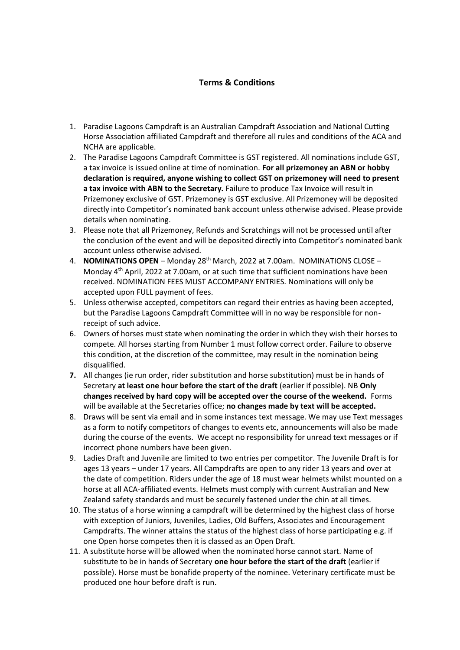## **Terms & Conditions**

- 1. Paradise Lagoons Campdraft is an Australian Campdraft Association and National Cutting Horse Association affiliated Campdraft and therefore all rules and conditions of the ACA and NCHA are applicable.
- 2. The Paradise Lagoons Campdraft Committee is GST registered. All nominations include GST, a tax invoice is issued online at time of nomination. **For all prizemoney an ABN or hobby declaration is required, anyone wishing to collect GST on prizemoney will need to present a tax invoice with ABN to the Secretary.** Failure to produce Tax Invoice will result in Prizemoney exclusive of GST. Prizemoney is GST exclusive. All Prizemoney will be deposited directly into Competitor's nominated bank account unless otherwise advised. Please provide details when nominating.
- 3. Please note that all Prizemoney, Refunds and Scratchings will not be processed until after the conclusion of the event and will be deposited directly into Competitor's nominated bank account unless otherwise advised.
- 4. **NOMINATIONS OPEN** Monday 28<sup>th</sup> March, 2022 at 7.00am. NOMINATIONS CLOSE -Monday 4<sup>th</sup> April, 2022 at 7.00am, or at such time that sufficient nominations have been received. NOMINATION FEES MUST ACCOMPANY ENTRIES. Nominations will only be accepted upon FULL payment of fees.
- 5. Unless otherwise accepted, competitors can regard their entries as having been accepted, but the Paradise Lagoons Campdraft Committee will in no way be responsible for nonreceipt of such advice.
- 6. Owners of horses must state when nominating the order in which they wish their horses to compete. All horses starting from Number 1 must follow correct order. Failure to observe this condition, at the discretion of the committee, may result in the nomination being disqualified.
- **7.** All changes (ie run order, rider substitution and horse substitution) must be in hands of Secretary **at least one hour before the start of the draft** (earlier if possible). NB **Only changes received by hard copy will be accepted over the course of the weekend.** Forms will be available at the Secretaries office; **no changes made by text will be accepted.**
- 8. Draws will be sent via email and in some instances text message. We may use Text messages as a form to notify competitors of changes to events etc, announcements will also be made during the course of the events. We accept no responsibility for unread text messages or if incorrect phone numbers have been given.
- 9. Ladies Draft and Juvenile are limited to two entries per competitor. The Juvenile Draft is for ages 13 years – under 17 years. All Campdrafts are open to any rider 13 years and over at the date of competition. Riders under the age of 18 must wear helmets whilst mounted on a horse at all ACA-affiliated events. Helmets must comply with current Australian and New Zealand safety standards and must be securely fastened under the chin at all times.
- 10. The status of a horse winning a campdraft will be determined by the highest class of horse with exception of Juniors, Juveniles, Ladies, Old Buffers, Associates and Encouragement Campdrafts. The winner attains the status of the highest class of horse participating e.g. if one Open horse competes then it is classed as an Open Draft.
- 11. A substitute horse will be allowed when the nominated horse cannot start. Name of substitute to be in hands of Secretary **one hour before the start of the draft** (earlier if possible). Horse must be bonafide property of the nominee. Veterinary certificate must be produced one hour before draft is run.